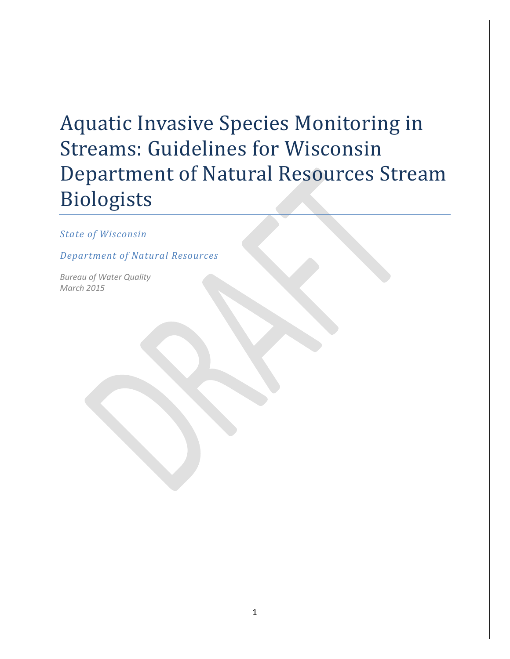# Aquatic Invasive Species Monitoring in Streams: Guidelines for Wisconsin Department of Natural Resources Stream Biologists

*State of Wisconsin*

*Department of Natural Resources*

*Bureau of Water Quality March 2015*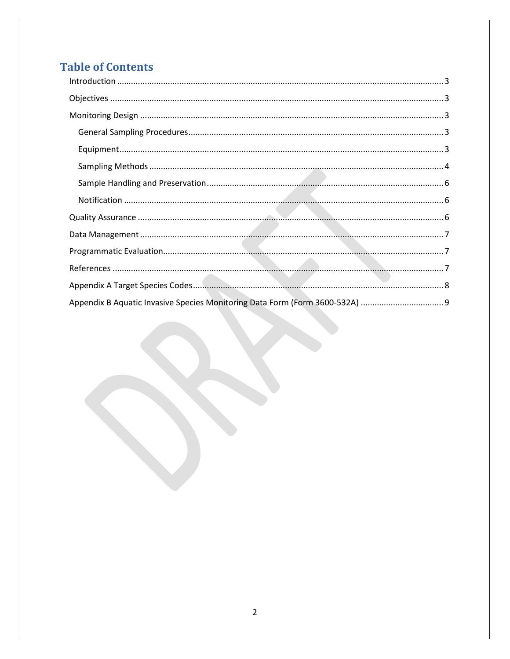# **Table of Contents**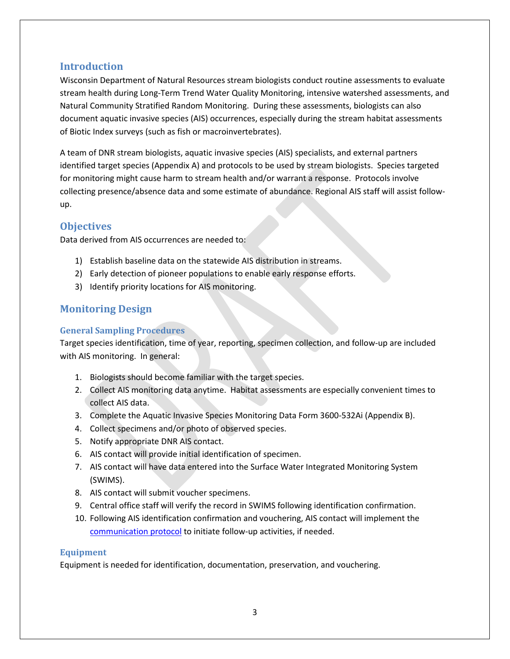#### <span id="page-2-0"></span>**Introduction**

Wisconsin Department of Natural Resources stream biologists conduct routine assessments to evaluate stream health during Long-Term Trend Water Quality Monitoring, intensive watershed assessments, and Natural Community Stratified Random Monitoring. During these assessments, biologists can also document aquatic invasive species (AIS) occurrences, especially during the stream habitat assessments of Biotic Index surveys (such as fish or macroinvertebrates).

A team of DNR stream biologists, aquatic invasive species (AIS) specialists, and external partners identified target species (Appendix A) and protocols to be used by stream biologists. Species targeted for monitoring might cause harm to stream health and/or warrant a response. Protocols involve collecting presence/absence data and some estimate of abundance. Regional AIS staff will assist followup.

## <span id="page-2-1"></span>**Objectives**

Data derived from AIS occurrences are needed to:

- 1) Establish baseline data on the statewide AIS distribution in streams.
- 2) Early detection of pioneer populations to enable early response efforts.
- 3) Identify priority locations for AIS monitoring.

## <span id="page-2-2"></span>**Monitoring Design**

#### <span id="page-2-3"></span>**General Sampling Procedures**

Target species identification, time of year, reporting, specimen collection, and follow-up are included with AIS monitoring. In general:

- 1. Biologists should become familiar with the target species.
- 2. Collect AIS monitoring data anytime. Habitat assessments are especially convenient times to collect AIS data.
- 3. Complete the Aquatic Invasive Species Monitoring Data Form 3600-532Ai (Appendix B).
- 4. Collect specimens and/or photo of observed species.
- 5. Notify appropriate DNR AIS contact.
- 6. AIS contact will provide initial identification of specimen.
- 7. AIS contact will have data entered into the Surface Water Integrated Monitoring System (SWIMS).
- 8. AIS contact will submit voucher specimens.
- 9. Central office staff will verify the record in SWIMS following identification confirmation.
- 10. Following AIS identification confirmation and vouchering, AIS contact will implement the [communication protocol](http://dnr.wi.gov/lakes/invasives/AISDiscoveryCommunicationProtocol.pdf) to initiate follow-up activities, if needed.

#### <span id="page-2-4"></span>**Equipment**

Equipment is needed for identification, documentation, preservation, and vouchering.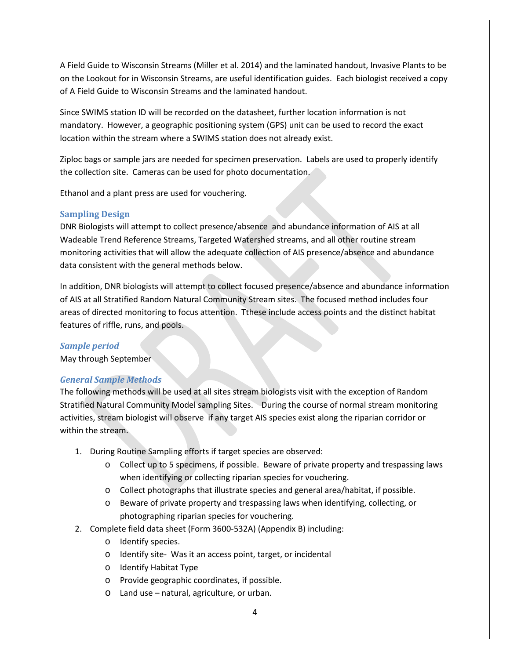A Field Guide to Wisconsin Streams (Miller et al. 2014) and the laminated handout, Invasive Plants to be on the Lookout for in Wisconsin Streams, are useful identification guides. Each biologist received a copy of A Field Guide to Wisconsin Streams and the laminated handout.

Since SWIMS station ID will be recorded on the datasheet, further location information is not mandatory. However, a geographic positioning system (GPS) unit can be used to record the exact location within the stream where a SWIMS station does not already exist.

Ziploc bags or sample jars are needed for specimen preservation. Labels are used to properly identify the collection site. Cameras can be used for photo documentation.

Ethanol and a plant press are used for vouchering.

#### <span id="page-3-0"></span>**Sampling Design**

DNR Biologists will attempt to collect presence/absence and abundance information of AIS at all Wadeable Trend Reference Streams, Targeted Watershed streams, and all other routine stream monitoring activities that will allow the adequate collection of AIS presence/absence and abundance data consistent with the general methods below.

In addition, DNR biologists will attempt to collect focused presence/absence and abundance information of AIS at all Stratified Random Natural Community Stream sites. The focused method includes four areas of directed monitoring to focus attention. Tthese include access points and the distinct habitat features of riffle, runs, and pools.

#### *Sample period*

May through September

#### *General Sample Methods*

The following methods will be used at all sites stream biologists visit with the exception of Random Stratified Natural Community Model sampling Sites. During the course of normal stream monitoring activities, stream biologist will observe if any target AIS species exist along the riparian corridor or within the stream.

- 1. During Routine Sampling efforts if target species are observed:
	- o Collect up to 5 specimens, if possible. Beware of private property and trespassing laws when identifying or collecting riparian species for vouchering.
	- o Collect photographs that illustrate species and general area/habitat, if possible.
	- o Beware of private property and trespassing laws when identifying, collecting, or photographing riparian species for vouchering.
- 2. Complete field data sheet (Form 3600-532A) (Appendix B) including:
	- o Identify species.
	- o Identify site- Was it an access point, target, or incidental
	- o Identify Habitat Type
	- o Provide geographic coordinates, if possible.
	- o Land use natural, agriculture, or urban.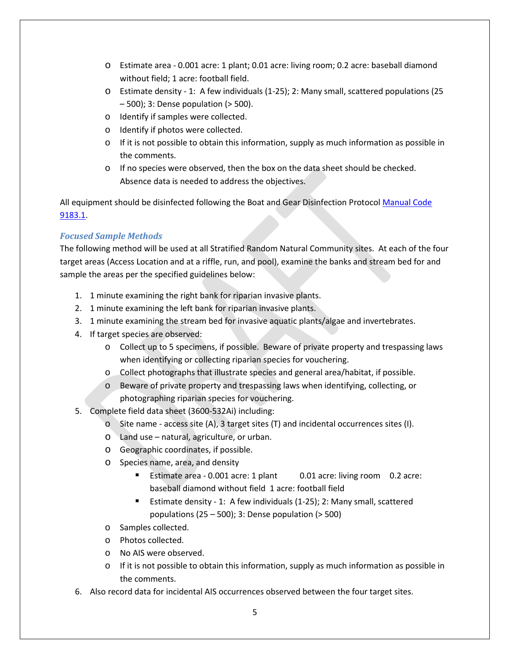- o Estimate area 0.001 acre: 1 plant; 0.01 acre: living room; 0.2 acre: baseball diamond without field; 1 acre: football field.
- o Estimate density 1: A few individuals (1-25); 2: Many small, scattered populations (25 – 500); 3: Dense population (> 500).
- o Identify if samples were collected.
- o Identify if photos were collected.
- $\circ$  If it is not possible to obtain this information, supply as much information as possible in the comments.
- o If no species were observed, then the box on the data sheet should be checked. Absence data is needed to address the objectives.

All equipment should be disinfected following the Boat and Gear Disinfection Protocol [Manual Code](http://intranet.dnr.state.wi.us/int/mb/codes/MC9183-10.pdf)  [9183.1.](http://intranet.dnr.state.wi.us/int/mb/codes/MC9183-10.pdf)

#### *Focused Sample Methods*

The following method will be used at all Stratified Random Natural Community sites. At each of the four target areas (Access Location and at a riffle, run, and pool), examine the banks and stream bed for and sample the areas per the specified guidelines below:

- 1. 1 minute examining the right bank for riparian invasive plants.
- 2. 1 minute examining the left bank for riparian invasive plants.
- 3. 1 minute examining the stream bed for invasive aquatic plants/algae and invertebrates.
- 4. If target species are observed:
	- o Collect up to 5 specimens, if possible. Beware of private property and trespassing laws when identifying or collecting riparian species for vouchering.
	- o Collect photographs that illustrate species and general area/habitat, if possible.
	- o Beware of private property and trespassing laws when identifying, collecting, or photographing riparian species for vouchering.
- 5. Complete field data sheet (3600-532Ai) including:
	- $\circ$  Site name access site (A), 3 target sites (T) and incidental occurrences sites (I).
	- o Land use natural, agriculture, or urban.
	- o Geographic coordinates, if possible.
	- o Species name, area, and density
		- Estimate area 0.001 acre: 1 plant 0.01 acre: living room 0.2 acre: baseball diamond without field 1 acre: football field
		- Estimate density 1: A few individuals (1-25); 2: Many small, scattered populations  $(25 - 500)$ ; 3: Dense population  $(> 500)$
	- o Samples collected.
	- o Photos collected.
	- o No AIS were observed.
	- $\circ$  If it is not possible to obtain this information, supply as much information as possible in the comments.
- 6. Also record data for incidental AIS occurrences observed between the four target sites.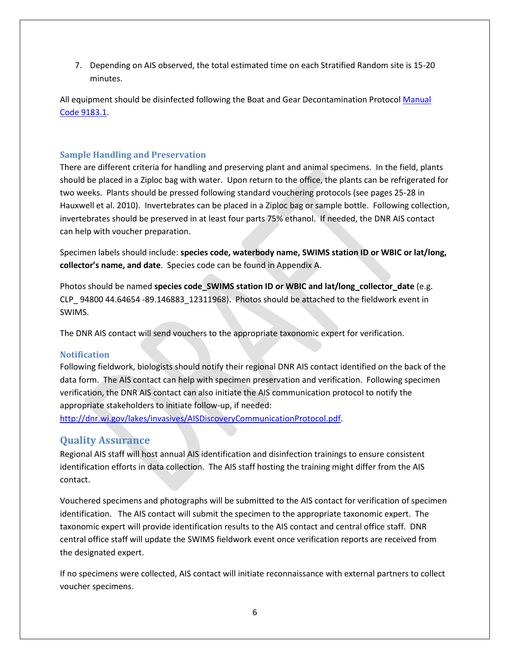7. Depending on AIS observed, the total estimated time on each Stratified Random site is 15-20 minutes.

All equipment should be disinfected following the Boat and Gear Decontamination Protoco[l Manual](http://intranet.dnr.state.wi.us/int/mb/codes/MC9183-10.pdf)  [Code 9183.1.](http://intranet.dnr.state.wi.us/int/mb/codes/MC9183-10.pdf)

#### <span id="page-5-0"></span>**Sample Handling and Preservation**

There are different criteria for handling and preserving plant and animal specimens. In the field, plants should be placed in a Ziploc bag with water. Upon return to the office, the plants can be refrigerated for two weeks. Plants should be pressed following standard vouchering protocols (see pages 25-28 in Hauxwell et al. 2010). Invertebrates can be placed in a Ziploc bag or sample bottle. Following collection, invertebrates should be preserved in at least four parts 75% ethanol. If needed, the DNR AIS contact can help with voucher preparation.

Specimen labels should include: **species code, waterbody name, SWIMS station ID or WBIC or lat/long, collector's name, and date**. Species code can be found in Appendix A.

Photos should be named **species code\_SWIMS station ID or WBIC and lat/long\_collector\_date** (e.g. CLP 94800 44.64654 -89.146883 12311968). Photos should be attached to the fieldwork event in SWIMS.

The DNR AIS contact will send vouchers to the appropriate taxonomic expert for verification.

#### <span id="page-5-1"></span>**Notification**

Following fieldwork, biologists should notify their regional DNR AIS contact identified on the back of the data form. The AIS contact can help with specimen preservation and verification. Following specimen verification, the DNR AIS contact can also initiate the AIS communication protocol to notify the appropriate stakeholders to initiate follow-up, if needed:

[http://dnr.wi.gov/lakes/invasives/AISDiscoveryCommunicationProtocol.pdf.](http://dnr.wi.gov/lakes/invasives/AISDiscoveryCommunicationProtocol.pdf)

#### <span id="page-5-2"></span>**Quality Assurance**

Regional AIS staff will host annual AIS identification and disinfection trainings to ensure consistent identification efforts in data collection. The AIS staff hosting the training might differ from the AIS contact.

Vouchered specimens and photographs will be submitted to the AIS contact for verification of specimen identification. The AIS contact will submit the specimen to the appropriate taxonomic expert. The taxonomic expert will provide identification results to the AIS contact and central office staff. DNR central office staff will update the SWIMS fieldwork event once verification reports are received from the designated expert.

If no specimens were collected, AIS contact will initiate reconnaissance with external partners to collect voucher specimens.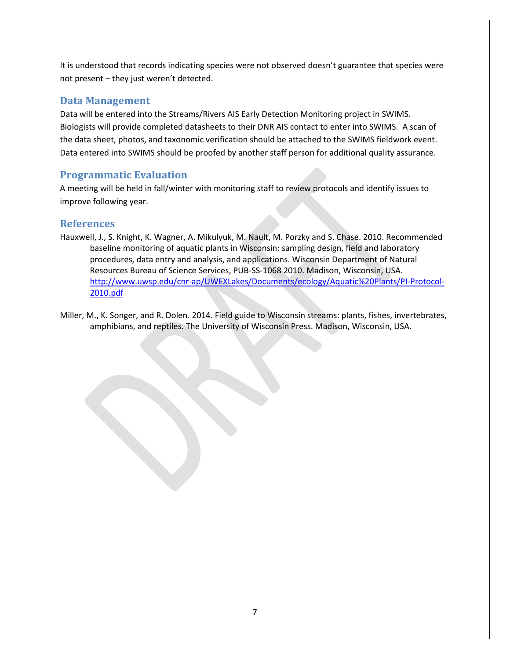It is understood that records indicating species were not observed doesn't guarantee that species were not present – they just weren't detected.

#### <span id="page-6-0"></span>**Data Management**

Data will be entered into the Streams/Rivers AIS Early Detection Monitoring project in SWIMS. Biologists will provide completed datasheets to their DNR AIS contact to enter into SWIMS. A scan of the data sheet, photos, and taxonomic verification should be attached to the SWIMS fieldwork event. Data entered into SWIMS should be proofed by another staff person for additional quality assurance.

## <span id="page-6-1"></span>**Programmatic Evaluation**

A meeting will be held in fall/winter with monitoring staff to review protocols and identify issues to improve following year.

#### <span id="page-6-2"></span>**References**

- Hauxwell, J., S. Knight, K. Wagner, A. Mikulyuk, M. Nault, M. Porzky and S. Chase. 2010. Recommended baseline monitoring of aquatic plants in Wisconsin: sampling design, field and laboratory procedures, data entry and analysis, and applications. Wisconsin Department of Natural Resources Bureau of Science Services, PUB-SS-1068 2010. Madison, Wisconsin, USA. [http://www.uwsp.edu/cnr-ap/UWEXLakes/Documents/ecology/Aquatic%20Plants/PI-Protocol-](http://www.uwsp.edu/cnr-ap/UWEXLakes/Documents/ecology/Aquatic%20Plants/PI-Protocol-2010.pdf)[2010.pdf](http://www.uwsp.edu/cnr-ap/UWEXLakes/Documents/ecology/Aquatic%20Plants/PI-Protocol-2010.pdf)
- Miller, M., K. Songer, and R. Dolen. 2014. Field guide to Wisconsin streams: plants, fishes, invertebrates, amphibians, and reptiles. The University of Wisconsin Press. Madison, Wisconsin, USA.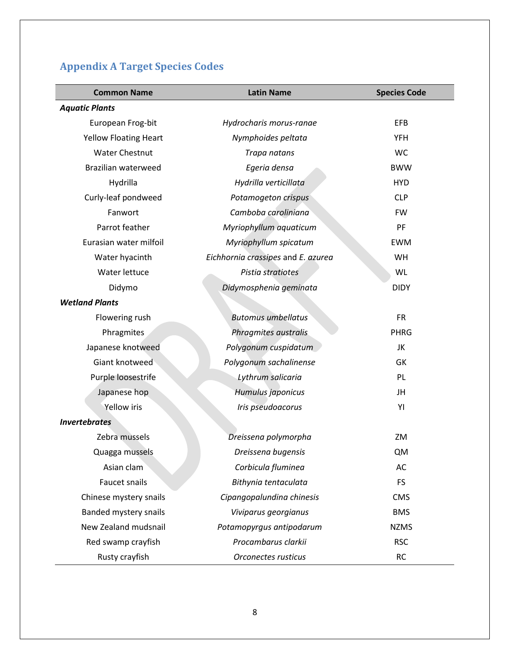# <span id="page-7-0"></span>**Appendix A Target Species Codes**

| <b>Common Name</b>           | <b>Latin Name</b>                  | <b>Species Code</b> |
|------------------------------|------------------------------------|---------------------|
| <b>Aquatic Plants</b>        |                                    |                     |
| European Frog-bit            | Hydrocharis morus-ranae            | EFB                 |
| <b>Yellow Floating Heart</b> | Nymphoides peltata                 | <b>YFH</b>          |
| <b>Water Chestnut</b>        | Trapa natans                       | <b>WC</b>           |
| Brazilian waterweed          | Egeria densa                       | <b>BWW</b>          |
| Hydrilla                     | Hydrilla verticillata              | <b>HYD</b>          |
| Curly-leaf pondweed          | Potamogeton crispus                | <b>CLP</b>          |
| Fanwort                      | Camboba caroliniana                | <b>FW</b>           |
| Parrot feather               | Myriophyllum aquaticum             | PF                  |
| Eurasian water milfoil       | Myriophyllum spicatum              | <b>EWM</b>          |
| Water hyacinth               | Eichhornia crassipes and E. azurea | WH                  |
| Water lettuce                | Pistia stratiotes                  | WL                  |
| Didymo                       | Didymosphenia geminata             | <b>DIDY</b>         |
| <b>Wetland Plants</b>        |                                    |                     |
| Flowering rush               | <b>Butomus umbellatus</b>          | <b>FR</b>           |
| Phragmites                   | Phragmites australis               | <b>PHRG</b>         |
| Japanese knotweed            | Polygonum cuspidatum               | JK                  |
| Giant knotweed               | Polygonum sachalinense             | GK                  |
| Purple loosestrife           | Lythrum salicaria                  | PL                  |
| Japanese hop                 | Humulus japonicus                  | JH                  |
| <b>Yellow</b> iris           | Iris pseudoacorus                  | YI                  |
| <b>Invertebrates</b>         |                                    |                     |
| Zebra mussels                | Dreissena polymorpha               | ZM                  |
| Quagga mussels               | Dreissena bugensis                 | <b>QM</b>           |
| Asian clam                   | Corbicula fluminea                 | AC                  |
| Faucet snails                | Bithynia tentaculata               | <b>FS</b>           |
| Chinese mystery snails       | Cipangopalundina chinesis          | <b>CMS</b>          |
| Banded mystery snails        | Viviparus georgianus               | <b>BMS</b>          |
| New Zealand mudsnail         | Potamopyrgus antipodarum           | <b>NZMS</b>         |
| Red swamp crayfish           | Procambarus clarkii                | <b>RSC</b>          |
| Rusty crayfish               | Orconectes rusticus                | <b>RC</b>           |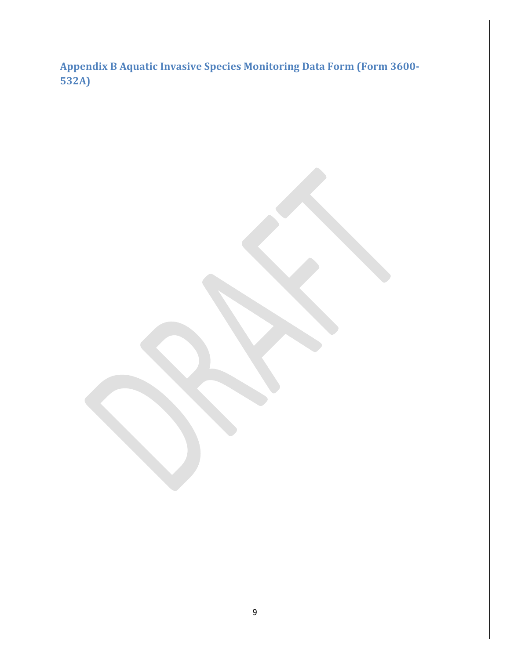<span id="page-8-0"></span>**Appendix B Aquatic Invasive Species Monitoring Data Form (Form 3600- 532A)**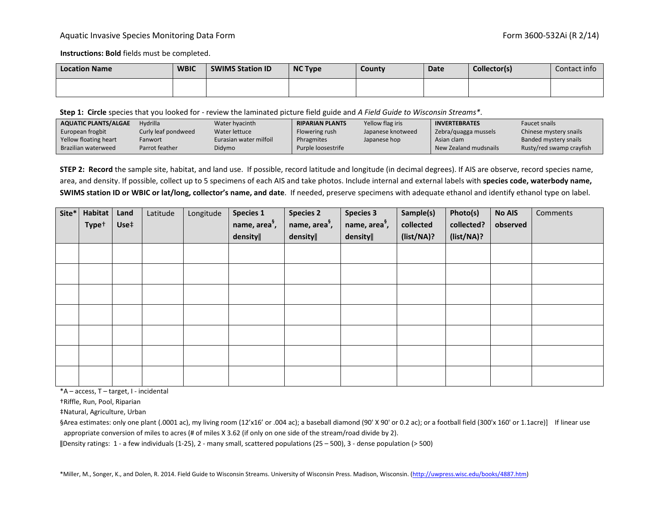#### Aquatic Invasive Species Monitoring Data Form **Form 3600-532Ai** (R 2/14)

**Instructions: Bold** fields must be completed.

| <b>Location Name</b> | <b>WBIC</b> | <b>SWIMS Station ID</b> | <b>NC Type</b> | <b>County</b> | <b>Date</b> | Collector(s) | Contact info |  |
|----------------------|-------------|-------------------------|----------------|---------------|-------------|--------------|--------------|--|
|                      |             |                         |                |               |             |              |              |  |

**Step 1: Circle** species that you looked for - review the laminated picture field guide and *A Field Guide to Wisconsin Streams\**.

| AQUATIC PLANTS/ALGAE  | Hydrilla            | Water hyacinth         | <b>RIPARIAN PLANTS</b> | Yellow flag iris  | <b>INVERTEBRATES</b>  | <b>Faucet snails</b>     |
|-----------------------|---------------------|------------------------|------------------------|-------------------|-----------------------|--------------------------|
| European frogbit      | Curly leaf pondweed | Water lettuce          | Flowering rush         | Japanese knotweed | Zebra/quagga mussels  | Chinese mystery snails   |
| Yellow floating heart | Fanwort             | Eurasian water milfoil | Phragmites             | Japanese hop      | Asian clam            | Banded mystery snails    |
| Brazilian waterweed   | Parrot feather      | Didymo                 | Purple loosestrife     |                   | New Zealand mudsnails | Rusty/red swamp crayfish |

**STEP 2: Record** the sample site, habitat, and land use. If possible, record latitude and longitude (in decimal degrees). If AIS are observe, record species name, area, and density. If possible, collect up to 5 specimens of each AIS and take photos. Include internal and external labels with **species code, waterbody name, SWIMS station ID or WBIC or lat/long, collector's name, and date**. If needed, preserve specimens with adequate ethanol and identify ethanol type on label.

| Site* | <b>Habitat</b>    | Land | Latitude | Longitude | <b>Species 1</b>          | <b>Species 2</b>          | <b>Species 3</b>          | Sample(s)  | Photo(s)   | <b>No AIS</b> | Comments |
|-------|-------------------|------|----------|-----------|---------------------------|---------------------------|---------------------------|------------|------------|---------------|----------|
|       | Type <sup>+</sup> | Use‡ |          |           | name, area <sup>§</sup> , | name, area <sup>§</sup> , | name, area <sup>§</sup> , | collected  | collected? | observed      |          |
|       |                   |      |          |           | density                   | density                   | density                   | (list/NA)? | (list/NA)? |               |          |
|       |                   |      |          |           |                           |                           |                           |            |            |               |          |
|       |                   |      |          |           |                           |                           |                           |            |            |               |          |
|       |                   |      |          |           |                           |                           |                           |            |            |               |          |
|       |                   |      |          |           |                           |                           |                           |            |            |               |          |
|       |                   |      |          |           |                           |                           |                           |            |            |               |          |
|       |                   |      |          |           |                           |                           |                           |            |            |               |          |
|       |                   |      |          |           |                           |                           |                           |            |            |               |          |
|       |                   |      |          |           |                           |                           |                           |            |            |               |          |
|       |                   |      |          |           |                           |                           |                           |            |            |               |          |

\*A – access, T – target, I - incidental

†Riffle, Run, Pool, Riparian

‡Natural, Agriculture, Urban

§Area estimates: only one plant (.0001 ac), my living room (12'x16' or .004 ac); a baseball diamond (90' X 90' or 0.2 ac); or a football field (300'x 160' or 1.1acre)] If linear use appropriate conversion of miles to acres (# of miles X 3.62 (if only on one side of the stream/road divide by 2).

ǁDensity ratings: 1 - a few individuals (1-25), 2 - many small, scattered populations (25 – 500), 3 - dense population (> 500)